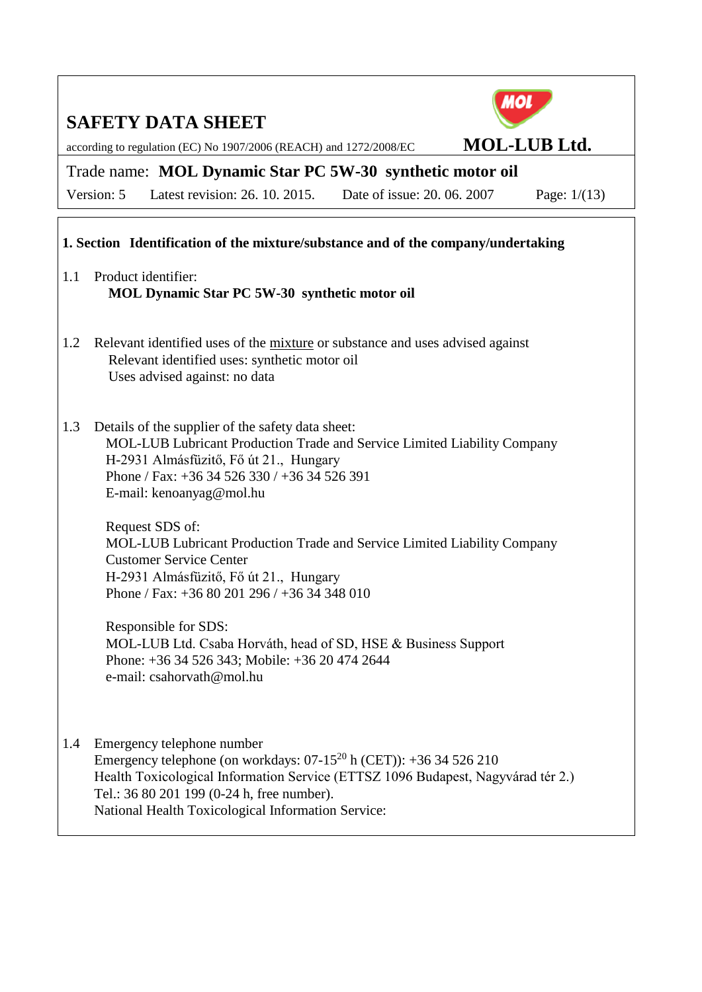

according to regulation (EC) No 1907/2006 (REACH) and 1272/2008/EC **MOL-LUB Ltd.**

## Trade name: **MOL Dynamic Star PC 5W-30 synthetic motor oil**

Version: 5 Latest revision: 26. 10. 2015. Date of issue: 20. 06. 2007 Page: 1/(13)

### **1. Section Identification of the mixture/substance and of the company/undertaking**

- 1.1 Product identifier: **MOL Dynamic Star PC 5W-30 synthetic motor oil**
- 1.2 Relevant identified uses of the mixture or substance and uses advised against Relevant identified uses: synthetic motor oil Uses advised against: no data
- 1.3 Details of the supplier of the safety data sheet: MOL-LUB Lubricant Production Trade and Service Limited Liability Company H-2931 Almásfüzitő, Fő út 21., Hungary Phone / Fax: +36 34 526 330 / +36 34 526 391 E-mail: kenoanyag@mol.hu

Request SDS of: MOL-LUB Lubricant Production Trade and Service Limited Liability Company Customer Service Center H-2931 Almásfüzitő, Fő út 21., Hungary Phone / Fax: +36 80 201 296 / +36 34 348 010

Responsible for SDS: MOL-LUB Ltd. Csaba Horváth, head of SD, HSE & Business Support Phone: +36 34 526 343; Mobile: +36 20 474 2644 e-mail: csahorvath@mol.hu

1.4 Emergency telephone number Emergency telephone (on workdays:  $07-15^{20}$  h (CET)):  $+36\,34\,526\,210$ Health Toxicological Information Service (ETTSZ 1096 Budapest, Nagyvárad tér 2.) Tel.: 36 80 201 199 (0-24 h, free number). National Health Toxicological Information Service: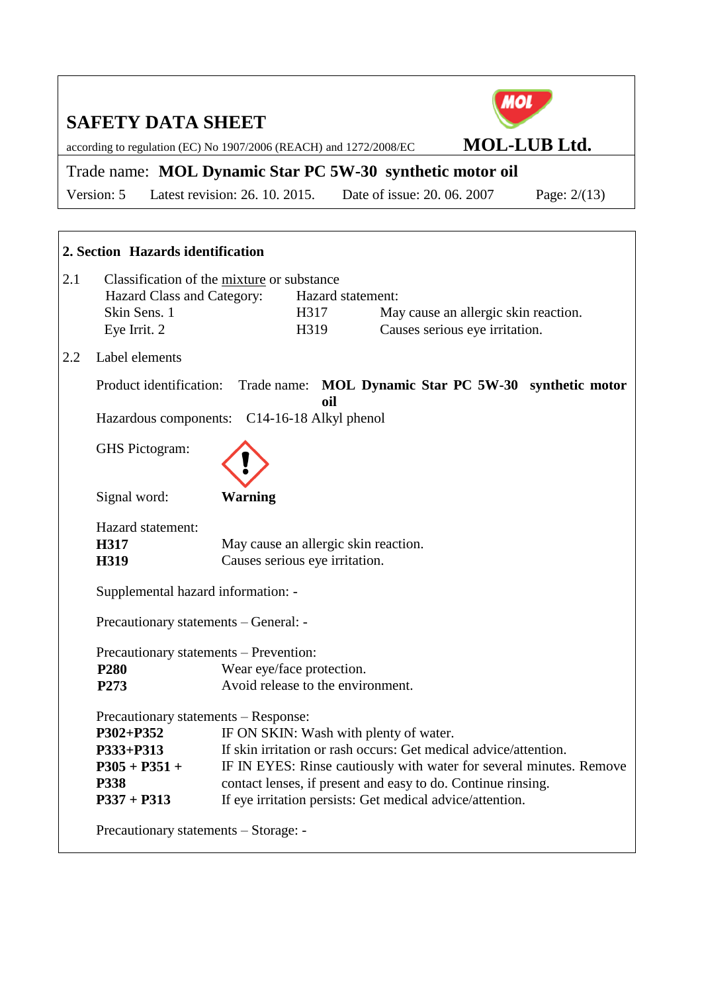according to regulation (EC) No 1907/2006 (REACH) and 1272/2008/EC **MOL-LUB Ltd.**

## Trade name: **MOL Dynamic Star PC 5W-30 synthetic motor oil**

Version: 5 Latest revision: 26. 10. 2015. Date of issue: 20. 06. 2007 Page: 2/(13)

|                                                     | 2. Section Hazards identification                                                                        |                                                                                                                                      |                                                                        |                                                                        |  |  |
|-----------------------------------------------------|----------------------------------------------------------------------------------------------------------|--------------------------------------------------------------------------------------------------------------------------------------|------------------------------------------------------------------------|------------------------------------------------------------------------|--|--|
| 2.1                                                 | Classification of the mixture or substance<br>Hazard Class and Category:<br>Skin Sens. 1<br>Eye Irrit. 2 |                                                                                                                                      | Hazard statement:<br>H317<br>H319                                      | May cause an allergic skin reaction.<br>Causes serious eye irritation. |  |  |
| 2.2                                                 | Label elements                                                                                           |                                                                                                                                      |                                                                        |                                                                        |  |  |
|                                                     |                                                                                                          | Product identification: Trade name: MOL Dynamic Star PC 5W-30 synthetic motor<br>oil<br>Hazardous components: C14-16-18 Alkyl phenol |                                                                        |                                                                        |  |  |
|                                                     | GHS Pictogram:                                                                                           |                                                                                                                                      |                                                                        |                                                                        |  |  |
|                                                     | Signal word:                                                                                             | <b>Warning</b>                                                                                                                       |                                                                        |                                                                        |  |  |
|                                                     | Hazard statement:<br>H317<br><b>H319</b>                                                                 |                                                                                                                                      | May cause an allergic skin reaction.<br>Causes serious eye irritation. |                                                                        |  |  |
|                                                     | Supplemental hazard information: -                                                                       |                                                                                                                                      |                                                                        |                                                                        |  |  |
|                                                     | Precautionary statements - General: -                                                                    |                                                                                                                                      |                                                                        |                                                                        |  |  |
|                                                     | Precautionary statements – Prevention:                                                                   |                                                                                                                                      |                                                                        |                                                                        |  |  |
|                                                     | <b>P280</b>                                                                                              | Wear eye/face protection.                                                                                                            |                                                                        |                                                                        |  |  |
|                                                     | P273                                                                                                     |                                                                                                                                      | Avoid release to the environment.                                      |                                                                        |  |  |
|                                                     | Precautionary statements – Response:                                                                     |                                                                                                                                      |                                                                        |                                                                        |  |  |
| P302+P352<br>IF ON SKIN: Wash with plenty of water. |                                                                                                          |                                                                                                                                      |                                                                        |                                                                        |  |  |
|                                                     | P333+P313                                                                                                |                                                                                                                                      |                                                                        | If skin irritation or rash occurs: Get medical advice/attention.       |  |  |
|                                                     | $P305 + P351 +$                                                                                          | IF IN EYES: Rinse cautiously with water for several minutes. Remove                                                                  |                                                                        |                                                                        |  |  |
|                                                     | P338                                                                                                     |                                                                                                                                      |                                                                        | contact lenses, if present and easy to do. Continue rinsing.           |  |  |
|                                                     | $P337 + P313$                                                                                            |                                                                                                                                      |                                                                        | If eye irritation persists: Get medical advice/attention.              |  |  |
|                                                     | Precautionary statements – Storage: -                                                                    |                                                                                                                                      |                                                                        |                                                                        |  |  |

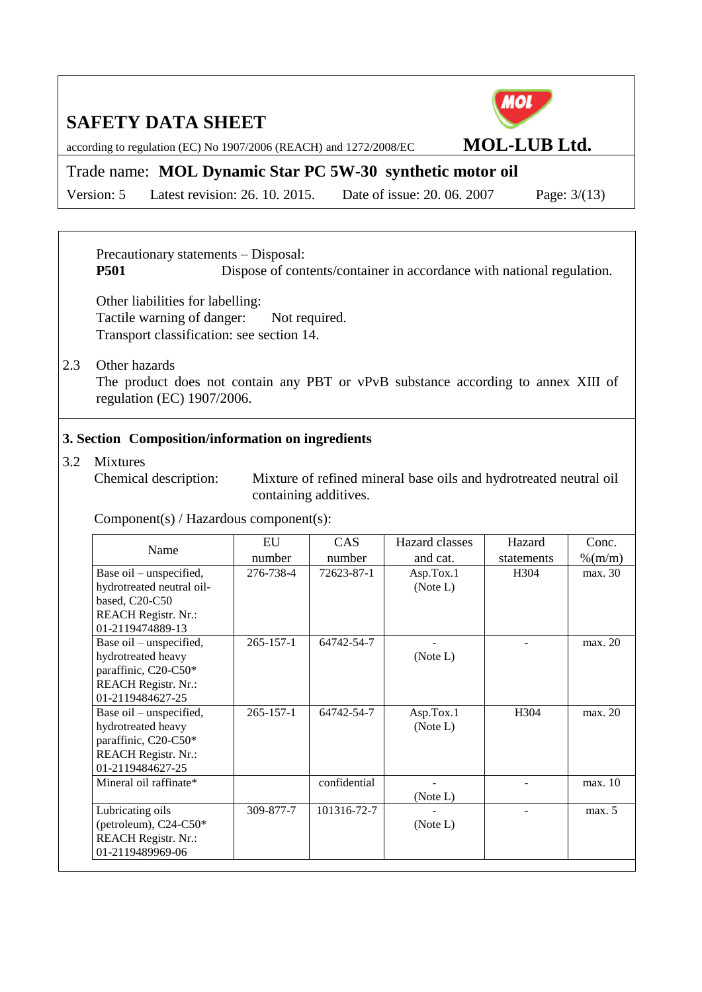according to regulation (EC) No 1907/2006 (REACH) and 1272/2008/EC **MOL-LUB Ltd.**

### Trade name: **MOL Dynamic Star PC 5W-30 synthetic motor oil**

Version: 5 Latest revision: 26. 10. 2015. Date of issue: 20. 06. 2007 Page: 3/(13)

Precautionary statements – Disposal:

**P501** Dispose of contents/container in accordance with national regulation.

Other liabilities for labelling: Tactile warning of danger: Not required. Transport classification: see section 14.

#### 2.3 Other hazards

The product does not contain any PBT or vPvB substance according to annex XIII of regulation (EC) 1907/2006.

#### **3. Section Composition/information on ingredients**

### 3.2 Mixtures

Chemical description: Mixture of refined mineral base oils and hydrotreated neutral oil containing additives.

Component(s) / Hazardous component(s):

| Name                                                                                                                     | EU<br>number    | <b>CAS</b><br>number | Hazard classes<br>and cat. | Hazard<br>statements | Conc.<br>$\%$ (m/m) |
|--------------------------------------------------------------------------------------------------------------------------|-----------------|----------------------|----------------------------|----------------------|---------------------|
| Base oil – unspecified,<br>hydrotreated neutral oil-<br>based, C20-C50<br><b>REACH Registr. Nr.:</b><br>01-2119474889-13 | 276-738-4       | 72623-87-1           | Asp.Tox.1<br>(Note L)      | H <sub>304</sub>     | max. 30             |
| Base oil – unspecified,<br>hydrotreated heavy<br>paraffinic, C20-C50*<br><b>REACH Registr. Nr.:</b><br>01-2119484627-25  | $265 - 157 - 1$ | 64742-54-7           | (Note L)                   |                      | max. 20             |
| Base oil – unspecified,<br>hydrotreated heavy<br>paraffinic, C20-C50*<br><b>REACH Registr. Nr.:</b><br>01-2119484627-25  | $265 - 157 - 1$ | 64742-54-7           | Asp.Tox.1<br>(Note L)      | H304                 | max. 20             |
| Mineral oil raffinate*                                                                                                   |                 | confidential         | (Note L)                   |                      | max. 10             |
| Lubricating oils<br>(petroleum), C24-C50*<br><b>REACH Registr. Nr.:</b><br>01-2119489969-06                              | 309-877-7       | 101316-72-7          | (Note L)                   |                      | max. 5              |

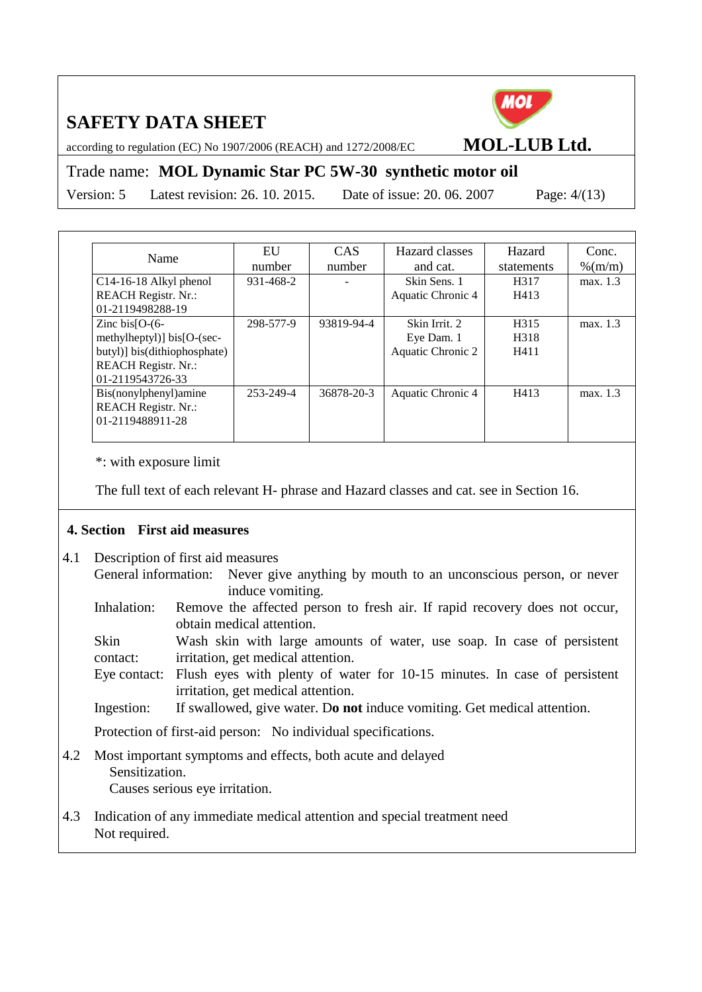

according to regulation (EC) No 1907/2006 (REACH) and 1272/2008/EC **MOL-LUB Ltd.**

### Trade name: **MOL Dynamic Star PC 5W-30 synthetic motor oil**

Version: 5 Latest revision: 26. 10. 2015. Date of issue: 20. 06. 2007 Page: 4/(13)

|                              | EU        | <b>CAS</b> | Hazard classes    | Hazard     | Conc.      |
|------------------------------|-----------|------------|-------------------|------------|------------|
| Name                         | number    | number     | and cat.          | statements | $\%$ (m/m) |
| C14-16-18 Alkyl phenol       | 931-468-2 |            | Skin Sens. 1      | H317       | max. 1.3   |
| <b>REACH Registr. Nr.:</b>   |           |            | Aquatic Chronic 4 | H413       |            |
| 01-2119498288-19             |           |            |                   |            |            |
| Zinc bis $[O-(6-$            | 298-577-9 | 93819-94-4 | Skin Irrit. 2     | H315       | max. 1.3   |
| methylheptyl)] $bis[O-(sec-$ |           |            | Eye Dam. 1        | H318       |            |
| butyl)] bis(dithiophosphate) |           |            | Aquatic Chronic 2 | H411       |            |
| <b>REACH Registr. Nr.:</b>   |           |            |                   |            |            |
| 01-2119543726-33             |           |            |                   |            |            |
| Bis(nonylphenyl)amine        | 253-249-4 | 36878-20-3 | Aquatic Chronic 4 | H413       | max. 1.3   |
| <b>REACH Registr. Nr.:</b>   |           |            |                   |            |            |
| 01-2119488911-28             |           |            |                   |            |            |
|                              |           |            |                   |            |            |

\*: with exposure limit

The full text of each relevant H- phrase and Hazard classes and cat. see in Section 16.

#### **4. Section First aid measures**

- 4.1 Description of first aid measures
	- General information: Never give anything by mouth to an unconscious person, or never induce vomiting.
	- Inhalation: Remove the affected person to fresh air. If rapid recovery does not occur, obtain medical attention.

Skin contact: Wash skin with large amounts of water, use soap. In case of persistent irritation, get medical attention.

- Eye contact: Flush eyes with plenty of water for 10-15 minutes. In case of persistent irritation, get medical attention.
- Ingestion: If swallowed, give water. D**o not** induce vomiting. Get medical attention.

Protection of first-aid person: No individual specifications.

4.2 Most important symptoms and effects, both acute and delayed Sensitization.

Causes serious eye irritation.

4.3 Indication of any immediate medical attention and special treatment need Not required.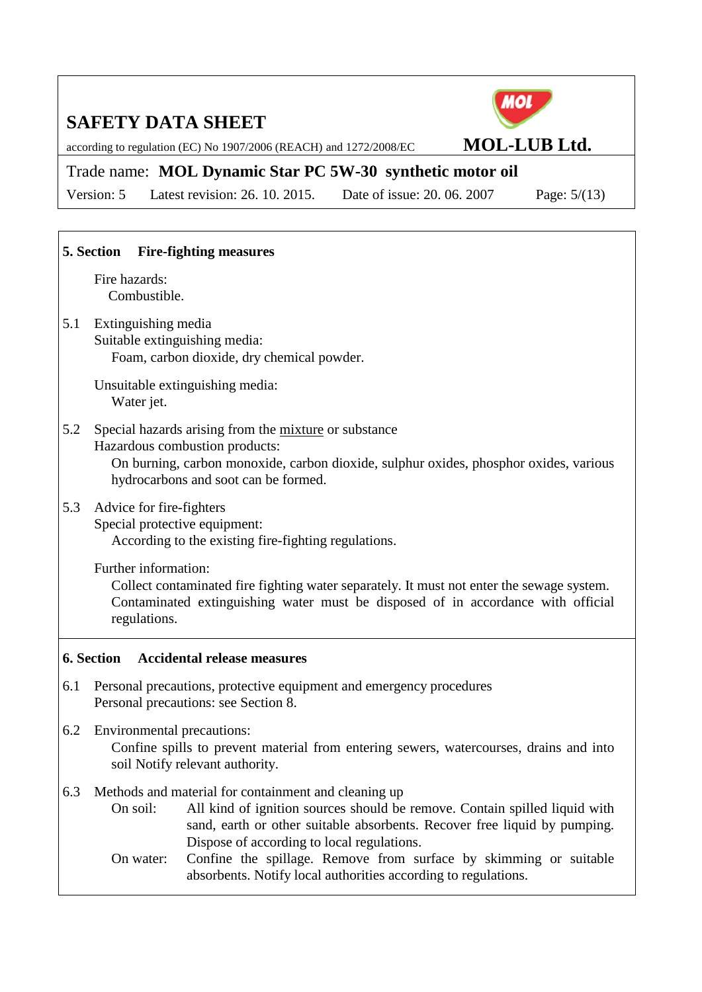according to regulation (EC) No 1907/2006 (REACH) and 1272/2008/EC **MOL-LUB Ltd.**

### Trade name: **MOL Dynamic Star PC 5W-30 synthetic motor oil**

Version: 5 Latest revision: 26. 10. 2015. Date of issue: 20. 06. 2007 Page: 5/(13)

# **5. Section Fire-fighting measures** Fire hazards: Combustible. 5.1 Extinguishing media Suitable extinguishing media: Foam, carbon dioxide, dry chemical powder. Unsuitable extinguishing media: Water jet. 5.2 Special hazards arising from the mixture or substance Hazardous combustion products: On burning, carbon monoxide, carbon dioxide, sulphur oxides, phosphor oxides, various hydrocarbons and soot can be formed. 5.3 Advice for fire-fighters Special protective equipment: According to the existing fire-fighting regulations. Further information: Collect contaminated fire fighting water separately. It must not enter the sewage system. Contaminated extinguishing water must be disposed of in accordance with official regulations. **6. Section Accidental release measures**

- 6.1 Personal precautions, protective equipment and emergency procedures Personal precautions: see Section 8.
- 6.2 Environmental precautions: Confine spills to prevent material from entering sewers, watercourses, drains and into soil Notify relevant authority.
- 6.3 Methods and material for containment and cleaning up
	- On soil: All kind of ignition sources should be remove. Contain spilled liquid with sand, earth or other suitable absorbents. Recover free liquid by pumping. Dispose of according to local regulations.
	- On water: Confine the spillage. Remove from surface by skimming or suitable absorbents. Notify local authorities according to regulations.

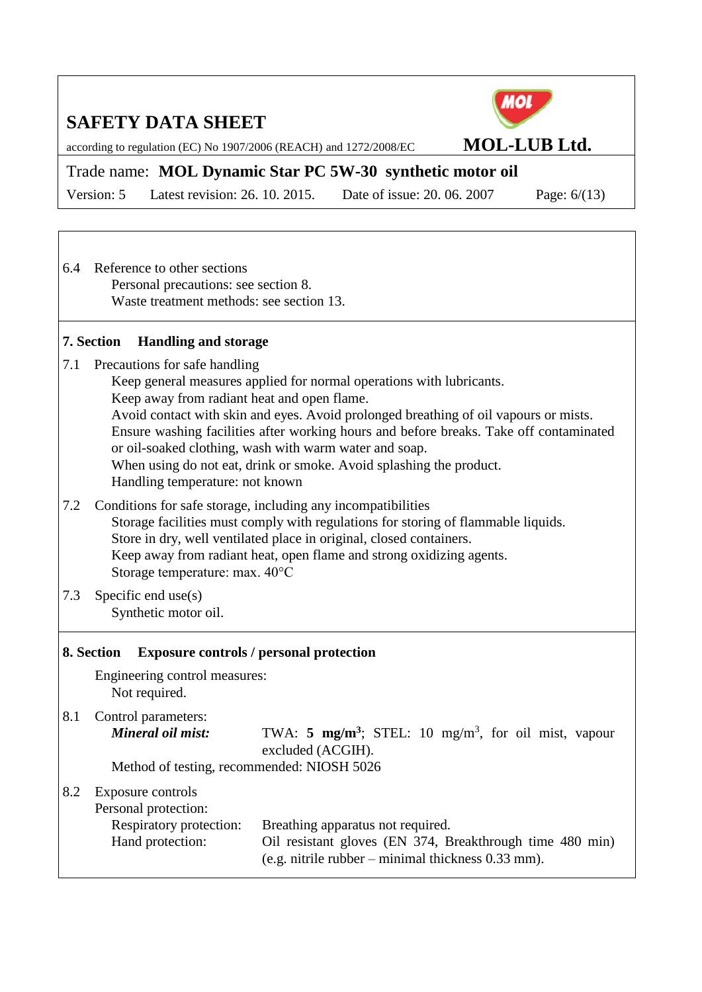

according to regulation (EC) No 1907/2006 (REACH) and 1272/2008/EC **MOL-LUB Ltd.**

### Trade name: **MOL Dynamic Star PC 5W-30 synthetic motor oil**

Version: 5 Latest revision: 26. 10. 2015. Date of issue: 20. 06. 2007 Page: 6/(13)

6.4 Reference to other sections Personal precautions: see section 8. Waste treatment methods: see section 13.

### **7. Section Handling and storage**

- 7.1 Precautions for safe handling
	- Keep general measures applied for normal operations with lubricants.
	- Keep away from radiant heat and open flame.
	- Avoid contact with skin and eyes. Avoid prolonged breathing of oil vapours or mists. Ensure washing facilities after working hours and before breaks. Take off contaminated or oil-soaked clothing, wash with warm water and soap. When using do not eat, drink or smoke. Avoid splashing the product. Handling temperature: not known
- 7.2 Conditions for safe storage, including any incompatibilities Storage facilities must comply with regulations for storing of flammable liquids. Store in dry, well ventilated place in original, closed containers. Keep away from radiant heat, open flame and strong oxidizing agents. Storage temperature: max. 40°C
- 7.3 Specific end use(s) Synthetic motor oil.

### **8. Section Exposure controls / personal protection**

Engineering control measures: Not required.

8.1 Control parameters:

*Mineral oil mist:* TWA: **5 mg/m<sup>3</sup>; STEL**: 10 mg/m<sup>3</sup>, for oil mist, vapour excluded (ACGIH).

Method of testing, recommended: NIOSH 5026

#### 8.2 Exposure controls

Personal protection: Respiratory protection: Breathing apparatus not required. Hand protection: Oil resistant gloves (EN 374, Breakthrough time 480 min) (e.g. nitrile rubber – minimal thickness 0.33 mm).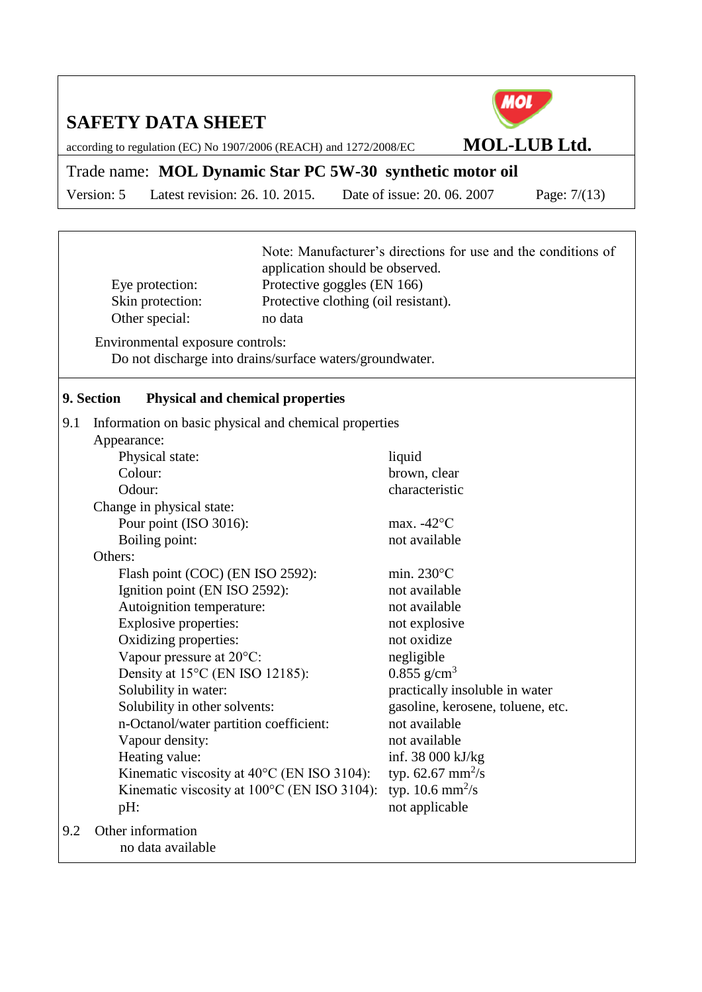ा



according to regulation (EC) No 1907/2006 (REACH) and 1272/2008/EC **MOL-LUB Ltd.**

## Trade name: **MOL Dynamic Star PC 5W-30 synthetic motor oil**

Version: 5 Latest revision: 26. 10. 2015. Date of issue: 20. 06. 2007 Page: 7/(13)

|                                                               | Eye protection:<br>Skin protection:<br>Other special:                                        | Note: Manufacturer's directions for use and the conditions of<br>application should be observed.<br>Protective goggles (EN 166)<br>Protective clothing (oil resistant).<br>no data |                                    |  |
|---------------------------------------------------------------|----------------------------------------------------------------------------------------------|------------------------------------------------------------------------------------------------------------------------------------------------------------------------------------|------------------------------------|--|
|                                                               | Environmental exposure controls:<br>Do not discharge into drains/surface waters/groundwater. |                                                                                                                                                                                    |                                    |  |
|                                                               | 9. Section<br><b>Physical and chemical properties</b>                                        |                                                                                                                                                                                    |                                    |  |
| 9.1                                                           | Information on basic physical and chemical properties<br>Appearance:                         |                                                                                                                                                                                    |                                    |  |
|                                                               | Physical state:                                                                              |                                                                                                                                                                                    | liquid                             |  |
|                                                               | Colour:                                                                                      |                                                                                                                                                                                    | brown, clear                       |  |
|                                                               | Odour:                                                                                       |                                                                                                                                                                                    | characteristic                     |  |
|                                                               | Change in physical state:                                                                    |                                                                                                                                                                                    |                                    |  |
|                                                               | Pour point (ISO 3016):                                                                       |                                                                                                                                                                                    | max. $-42^{\circ}$ C               |  |
| Boiling point:<br>Others:<br>Flash point (COC) (EN ISO 2592): |                                                                                              |                                                                                                                                                                                    | not available                      |  |
|                                                               |                                                                                              |                                                                                                                                                                                    |                                    |  |
|                                                               |                                                                                              |                                                                                                                                                                                    | min. $230^{\circ}$ C               |  |
|                                                               | Ignition point (EN ISO 2592):                                                                |                                                                                                                                                                                    | not available                      |  |
|                                                               | Autoignition temperature:<br>Explosive properties:                                           |                                                                                                                                                                                    | not available                      |  |
|                                                               | Oxidizing properties:                                                                        |                                                                                                                                                                                    | not explosive<br>not oxidize       |  |
|                                                               | Vapour pressure at 20°C:                                                                     |                                                                                                                                                                                    | negligible                         |  |
|                                                               | Density at 15°C (EN ISO 12185):                                                              |                                                                                                                                                                                    | $0.855$ g/cm <sup>3</sup>          |  |
|                                                               | Solubility in water:                                                                         |                                                                                                                                                                                    | practically insoluble in water     |  |
|                                                               | Solubility in other solvents:                                                                |                                                                                                                                                                                    | gasoline, kerosene, toluene, etc.  |  |
|                                                               | n-Octanol/water partition coefficient:                                                       |                                                                                                                                                                                    | not available                      |  |
|                                                               | Vapour density:                                                                              |                                                                                                                                                                                    | not available                      |  |
|                                                               | Heating value:                                                                               |                                                                                                                                                                                    | inf. 38 000 kJ/kg                  |  |
|                                                               | Kinematic viscosity at 40°C (EN ISO 3104):                                                   |                                                                                                                                                                                    | typ. $62.67 \text{ mm}^2/\text{s}$ |  |
|                                                               | Kinematic viscosity at 100°C (EN ISO 3104):                                                  |                                                                                                                                                                                    | typ. $10.6 \text{ mm}^2/\text{s}$  |  |
|                                                               | pH:                                                                                          |                                                                                                                                                                                    | not applicable                     |  |
| 9.2                                                           | Other information<br>no data available                                                       |                                                                                                                                                                                    |                                    |  |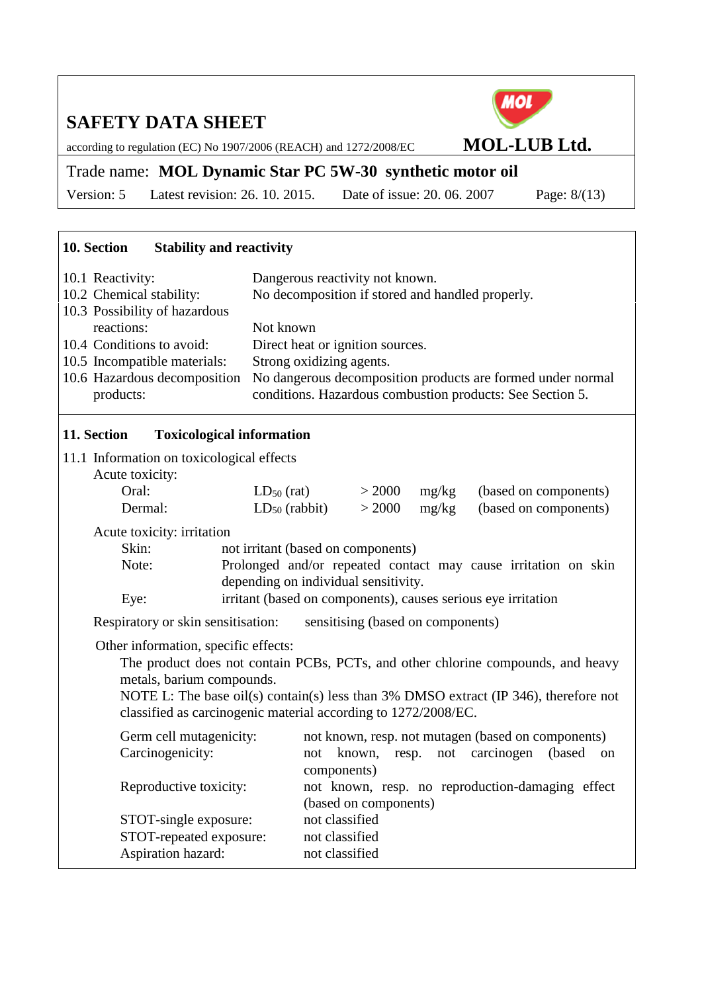MOL

according to regulation (EC) No 1907/2006 (REACH) and 1272/2008/EC **MOL-LUB Ltd.**

### Trade name: **MOL Dynamic Star PC 5W-30 synthetic motor oil**

Version: 5 Latest revision: 26. 10. 2015. Date of issue: 20. 06. 2007 Page: 8/(13)

## **10. Section Stability and reactivity**

| <b>Toxicological information</b><br>11. Section |                                                             |
|-------------------------------------------------|-------------------------------------------------------------|
| products:                                       | conditions. Hazardous combustion products: See Section 5.   |
| 10.6 Hazardous decomposition                    | No dangerous decomposition products are formed under normal |
| 10.5 Incompatible materials:                    | Strong oxidizing agents.                                    |
| 10.4 Conditions to avoid:                       | Direct heat or ignition sources.                            |
| reactions:                                      | Not known                                                   |
| 10.3 Possibility of hazardous                   |                                                             |
| 10.2 Chemical stability:                        | No decomposition if stored and handled properly.            |
| 10.1 Reactivity:                                | Dangerous reactivity not known.                             |
|                                                 |                                                             |

### **11. Section Toxicological information**

| 11. DUUUI                                                    | TUAICOIU LICAI HIIUI III AUUI      |        |       |                                                                |
|--------------------------------------------------------------|------------------------------------|--------|-------|----------------------------------------------------------------|
| 11.1 Information on toxicological effects<br>Acute toxicity: |                                    |        |       |                                                                |
| Oral:                                                        | $LD_{50}$ (rat)                    | > 2000 | mg/kg | (based on components)                                          |
| Dermal:                                                      | $LD_{50}$ (rabbit)                 | > 2000 | mg/kg | (based on components)                                          |
| Acute toxicity: irritation                                   |                                    |        |       |                                                                |
| Skin:                                                        | not irritant (based on components) |        |       |                                                                |
| Note:                                                        |                                    |        |       | Prolonged and/or repeated contact may cause irritation on skin |

Respiratory or skin sensitisation: sensitising (based on components)

depending on individual sensitivity.

Eye: irritant (based on components), causes serious eye irritation

### Other information, specific effects:

The product does not contain PCBs, PCTs, and other chlorine compounds, and heavy metals, barium compounds.

NOTE L: The base oil(s) contain(s) less than 3% DMSO extract (IP 346), therefore not classified as carcinogenic material according to 1272/2008/EC.

| Germ cell mutagenicity: | not known, resp. not mutagen (based on components)  |
|-------------------------|-----------------------------------------------------|
| Carcinogenicity:        | resp. not carcinogen<br>(based)<br>not known,<br>on |
|                         | components)                                         |
| Reproductive toxicity:  | not known, resp. no reproduction-damaging effect    |
|                         | (based on components)                               |
| STOT-single exposure:   | not classified                                      |
| STOT-repeated exposure: | not classified                                      |
| Aspiration hazard:      | not classified                                      |
|                         |                                                     |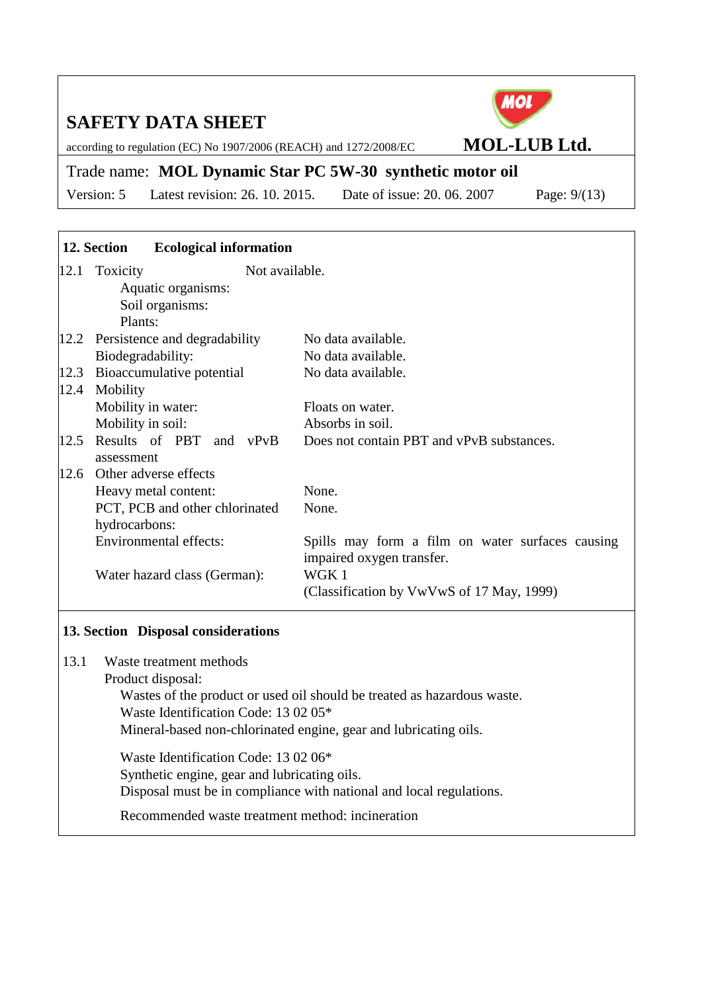according to regulation (EC) No 1907/2006 (REACH) and 1272/2008/EC **MOL-LUB Ltd.**

## Trade name: **MOL Dynamic Star PC 5W-30 synthetic motor oil**

Version: 5 Latest revision: 26. 10. 2015. Date of issue: 20. 06. 2007 Page: 9/(13)

|      | 12. Section       | <b>Ecological information</b>       |                                                  |
|------|-------------------|-------------------------------------|--------------------------------------------------|
|      | 12.1 Toxicity     | Not available.                      |                                                  |
|      |                   | Aquatic organisms:                  |                                                  |
|      |                   | Soil organisms:                     |                                                  |
|      | Plants:           |                                     |                                                  |
|      |                   | 12.2 Persistence and degradability  | No data available.                               |
|      | Biodegradability: |                                     | No data available.                               |
| 12.3 |                   | Bioaccumulative potential           | No data available.                               |
| 12.4 | Mobility          |                                     |                                                  |
|      |                   | Mobility in water:                  | Floats on water.                                 |
|      | Mobility in soil: |                                     | Absorbs in soil.                                 |
| 12.5 |                   | Results of PBT and vPvB             | Does not contain PBT and vPvB substances.        |
|      | assessment        |                                     |                                                  |
| 12.6 |                   | Other adverse effects               |                                                  |
|      |                   | Heavy metal content:                | None.                                            |
|      |                   | PCT, PCB and other chlorinated      | None.                                            |
|      | hydrocarbons:     |                                     |                                                  |
|      |                   | <b>Environmental effects:</b>       | Spills may form a film on water surfaces causing |
|      |                   |                                     | impaired oxygen transfer.                        |
|      |                   | Water hazard class (German):        | WGK 1                                            |
|      |                   |                                     | (Classification by VwVwS of 17 May, 1999)        |
|      |                   |                                     |                                                  |
|      |                   | 13. Section Disposal considerations |                                                  |

- 13.1 Waste treatment methods
	- Product disposal:

Wastes of the product or used oil should be treated as hazardous waste. Waste Identification Code: 13 02 05\*

Mineral-based non-chlorinated engine, gear and lubricating oils.

Waste Identification Code: 13 02 06\* Synthetic engine, gear and lubricating oils. Disposal must be in compliance with national and local regulations.

Recommended waste treatment method: incineration

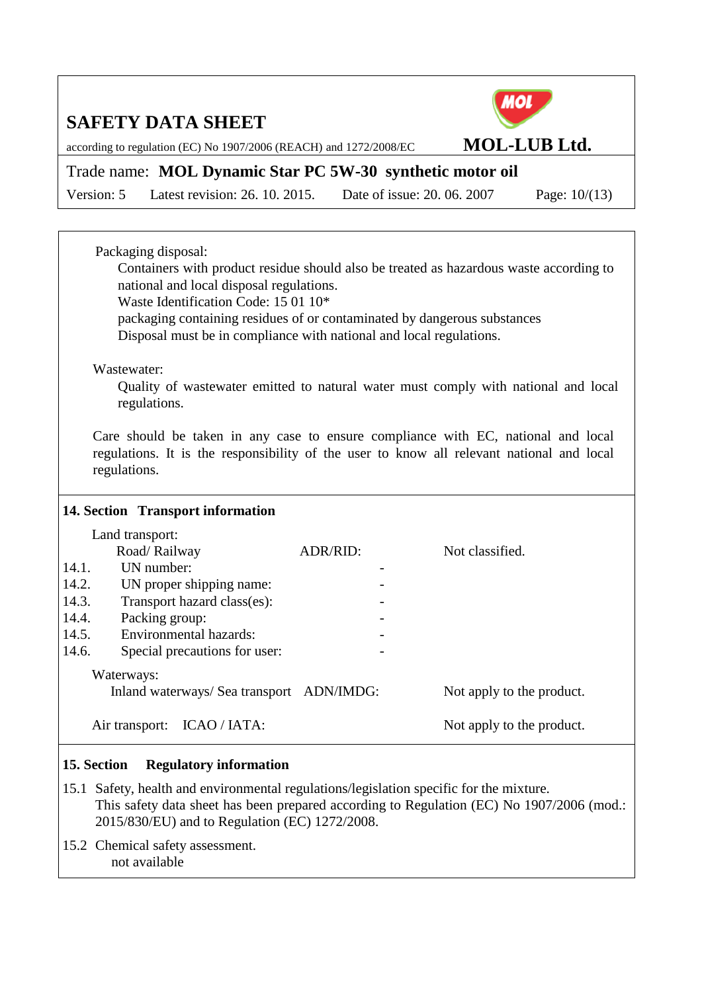

according to regulation (EC) No 1907/2006 (REACH) and 1272/2008/EC **MOL-LUB Ltd.**

## Trade name: **MOL Dynamic Star PC 5W-30 synthetic motor oil**

Version: 5 Latest revision: 26. 10. 2015. Date of issue: 20. 06. 2007 Page: 10/(13)

|       | Packaging disposal:                                                                    |          |                                                                                           |  |  |
|-------|----------------------------------------------------------------------------------------|----------|-------------------------------------------------------------------------------------------|--|--|
|       | Containers with product residue should also be treated as hazardous waste according to |          |                                                                                           |  |  |
|       | national and local disposal regulations.                                               |          |                                                                                           |  |  |
|       | Waste Identification Code: 15 01 10*                                                   |          |                                                                                           |  |  |
|       | packaging containing residues of or contaminated by dangerous substances               |          |                                                                                           |  |  |
|       | Disposal must be in compliance with national and local regulations.                    |          |                                                                                           |  |  |
|       | Wastewater:                                                                            |          |                                                                                           |  |  |
|       |                                                                                        |          | Quality of wastewater emitted to natural water must comply with national and local        |  |  |
|       | regulations.                                                                           |          |                                                                                           |  |  |
|       |                                                                                        |          |                                                                                           |  |  |
|       |                                                                                        |          | Care should be taken in any case to ensure compliance with EC, national and local         |  |  |
|       |                                                                                        |          | regulations. It is the responsibility of the user to know all relevant national and local |  |  |
|       | regulations.                                                                           |          |                                                                                           |  |  |
|       |                                                                                        |          |                                                                                           |  |  |
|       | 14. Section Transport information                                                      |          |                                                                                           |  |  |
|       |                                                                                        |          |                                                                                           |  |  |
|       |                                                                                        |          |                                                                                           |  |  |
|       | Land transport:<br>Road/Railway                                                        | ADR/RID: | Not classified.                                                                           |  |  |
| 14.1. | UN number:                                                                             |          |                                                                                           |  |  |
| 14.2. | UN proper shipping name:                                                               |          |                                                                                           |  |  |
| 14.3. | Transport hazard class(es):                                                            |          |                                                                                           |  |  |
| 14.4. | Packing group:                                                                         |          |                                                                                           |  |  |
| 14.5. | <b>Environmental hazards:</b>                                                          |          |                                                                                           |  |  |
| 14.6. | Special precautions for user:                                                          |          |                                                                                           |  |  |
|       | Waterways:                                                                             |          |                                                                                           |  |  |
|       | Inland waterways/ Sea transport ADN/IMDG:                                              |          | Not apply to the product.                                                                 |  |  |

### **15. Section Regulatory information**

- 15.1 Safety, health and environmental regulations/legislation specific for the mixture. This safety data sheet has been prepared according to Regulation (EC) No 1907/2006 (mod.: 2015/830/EU) and to Regulation (EC) 1272/2008.
- 15.2 Chemical safety assessment. not available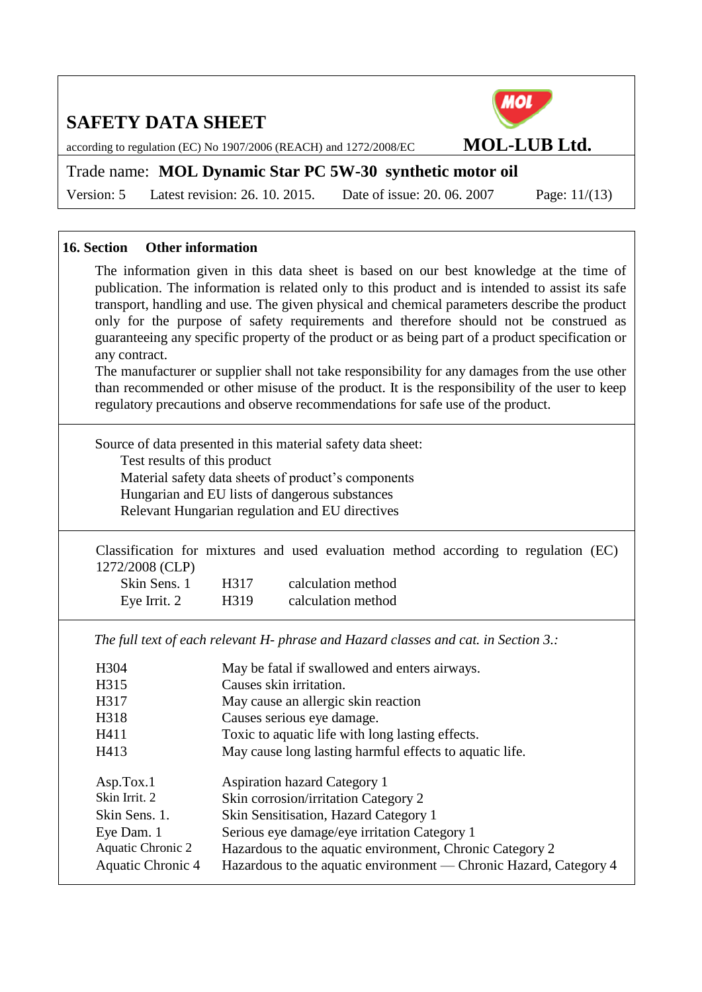

according to regulation (EC) No 1907/2006 (REACH) and 1272/2008/EC **MOL-LUB Ltd.**

## Trade name: **MOL Dynamic Star PC 5W-30 synthetic motor oil**

Version: 5 Latest revision: 26. 10. 2015. Date of issue: 20. 06. 2007 Page: 11/(13)

### **16. Section Other information**

The information given in this data sheet is based on our best knowledge at the time of publication. The information is related only to this product and is intended to assist its safe transport, handling and use. The given physical and chemical parameters describe the product only for the purpose of safety requirements and therefore should not be construed as guaranteeing any specific property of the product or as being part of a product specification or any contract.

The manufacturer or supplier shall not take responsibility for any damages from the use other than recommended or other misuse of the product. It is the responsibility of the user to keep regulatory precautions and observe recommendations for safe use of the product.

Source of data presented in this material safety data sheet: Test results of this product Material safety data sheets of product's components Hungarian and EU lists of dangerous substances Relevant Hungarian regulation and EU directives

Classification for mixtures and used evaluation method according to regulation (EC) 1272/2008 (CLP)

| Skin Sens. 1 | H317 | calculation method |
|--------------|------|--------------------|
| Eye Irrit. 2 | H319 | calculation method |

*The full text of each relevant H- phrase and Hazard classes and cat. in Section 3.:*

| H304              | May be fatal if swallowed and enters airways.                     |
|-------------------|-------------------------------------------------------------------|
| H315              | Causes skin irritation.                                           |
| H317              | May cause an allergic skin reaction                               |
| H318              | Causes serious eye damage.                                        |
| H411              | Toxic to aquatic life with long lasting effects.                  |
| H413              | May cause long lasting harmful effects to aquatic life.           |
| Asp.Tox.1         | <b>Aspiration hazard Category 1</b>                               |
| Skin Irrit. 2     | Skin corrosion/irritation Category 2                              |
| Skin Sens. 1.     | Skin Sensitisation, Hazard Category 1                             |
| Eye Dam. 1        | Serious eye damage/eye irritation Category 1                      |
| Aquatic Chronic 2 | Hazardous to the aquatic environment, Chronic Category 2          |
| Aquatic Chronic 4 | Hazardous to the aquatic environment — Chronic Hazard, Category 4 |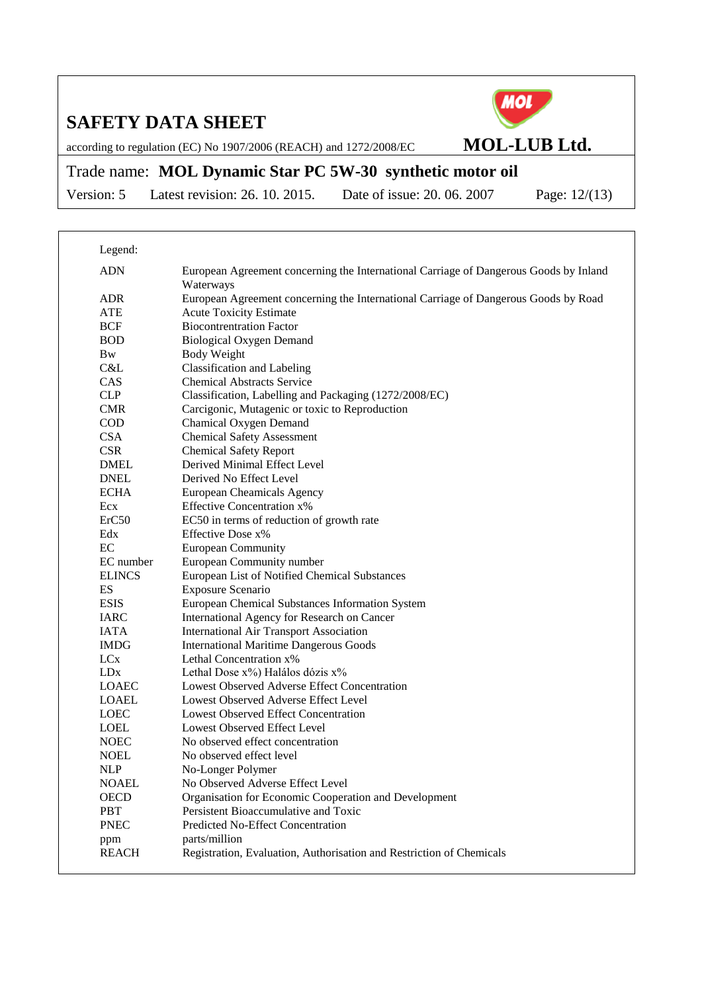

according to regulation (EC) No 1907/2006 (REACH) and 1272/2008/EC **MOL-LUB Ltd.**

## Trade name: **MOL Dynamic Star PC 5W-30 synthetic motor oil**

Version: 5 Latest revision: 26. 10. 2015. Date of issue: 20. 06. 2007 Page: 12/(13)

| Legend:                     |                                                                                                    |
|-----------------------------|----------------------------------------------------------------------------------------------------|
| <b>ADN</b>                  | European Agreement concerning the International Carriage of Dangerous Goods by Inland<br>Waterways |
| <b>ADR</b>                  | European Agreement concerning the International Carriage of Dangerous Goods by Road                |
| <b>ATE</b>                  | <b>Acute Toxicity Estimate</b>                                                                     |
| <b>BCF</b>                  | <b>Biocontrentration Factor</b>                                                                    |
| <b>BOD</b>                  | <b>Biological Oxygen Demand</b>                                                                    |
| <b>Bw</b>                   | Body Weight                                                                                        |
| C&L                         | Classification and Labeling                                                                        |
| CAS                         | <b>Chemical Abstracts Service</b>                                                                  |
| <b>CLP</b>                  | Classification, Labelling and Packaging (1272/2008/EC)                                             |
| <b>CMR</b>                  | Carcigonic, Mutagenic or toxic to Reproduction                                                     |
| <b>COD</b>                  | Chamical Oxygen Demand                                                                             |
| <b>CSA</b>                  | <b>Chemical Safety Assessment</b>                                                                  |
| <b>CSR</b>                  | <b>Chemical Safety Report</b>                                                                      |
| <b>DMEL</b>                 | Derived Minimal Effect Level                                                                       |
| <b>DNEL</b>                 | Derived No Effect Level                                                                            |
| <b>ECHA</b>                 | <b>European Cheamicals Agency</b>                                                                  |
| Ecx                         | <b>Effective Concentration x%</b>                                                                  |
| ErC50                       | EC50 in terms of reduction of growth rate                                                          |
| Edx                         | Effective Dose x%                                                                                  |
| EC                          | <b>European Community</b>                                                                          |
| EC number                   | European Community number                                                                          |
| <b>ELINCS</b>               | European List of Notified Chemical Substances                                                      |
| ES                          | <b>Exposure Scenario</b>                                                                           |
| <b>ESIS</b>                 | European Chemical Substances Information System                                                    |
| <b>IARC</b>                 | International Agency for Research on Cancer                                                        |
| <b>IATA</b>                 | <b>International Air Transport Association</b>                                                     |
| <b>IMDG</b>                 | <b>International Maritime Dangerous Goods</b>                                                      |
| LC <sub>x</sub>             | Lethal Concentration x%                                                                            |
| <b>LD<sub>x</sub></b>       | Lethal Dose x%) Halálos dózis x%                                                                   |
| <b>LOAEC</b>                | Lowest Observed Adverse Effect Concentration                                                       |
| <b>LOAEL</b>                | Lowest Observed Adverse Effect Level                                                               |
| <b>LOEC</b>                 | <b>Lowest Observed Effect Concentration</b>                                                        |
| <b>LOEL</b>                 | Lowest Observed Effect Level                                                                       |
| <b>NOEC</b>                 | No observed effect concentration                                                                   |
| <b>NOEL</b>                 | No observed effect level                                                                           |
| <b>NLP</b>                  | No-Longer Polymer                                                                                  |
| <b>NOAEL</b><br><b>OECD</b> | No Observed Adverse Effect Level<br>Organisation for Economic Cooperation and Development          |
| <b>PBT</b>                  | Persistent Bioaccumulative and Toxic                                                               |
| <b>PNEC</b>                 | <b>Predicted No-Effect Concentration</b>                                                           |
|                             | parts/million                                                                                      |
| ppm<br><b>REACH</b>         | Registration, Evaluation, Authorisation and Restriction of Chemicals                               |
|                             |                                                                                                    |